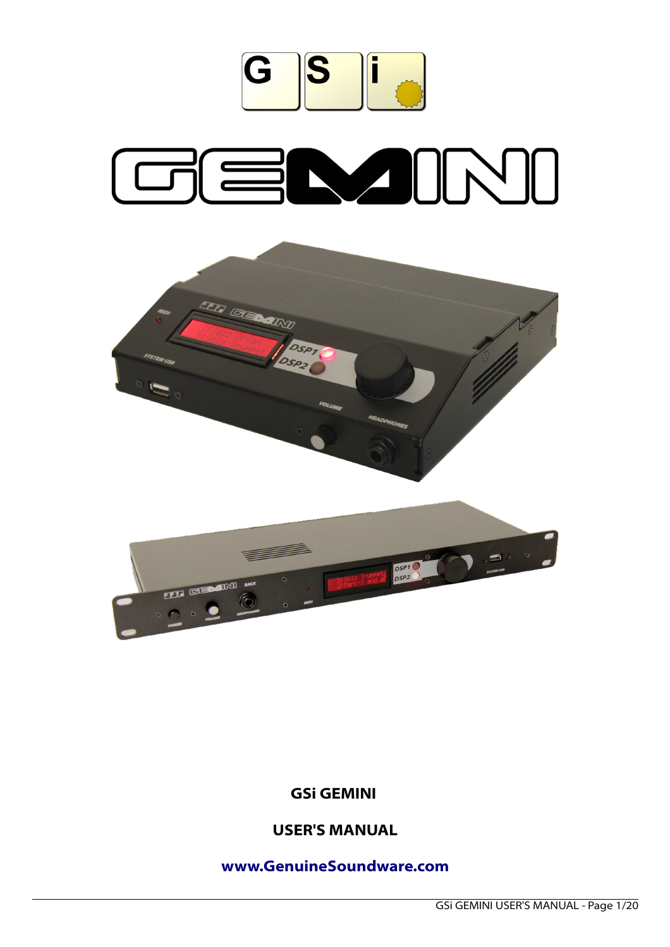

# GENJINI



# **GSi GEMINI**

# **USER'S MANUAL**

# **[www.GenuineSoundware.com](http://www.GenuineSoundware.com/)**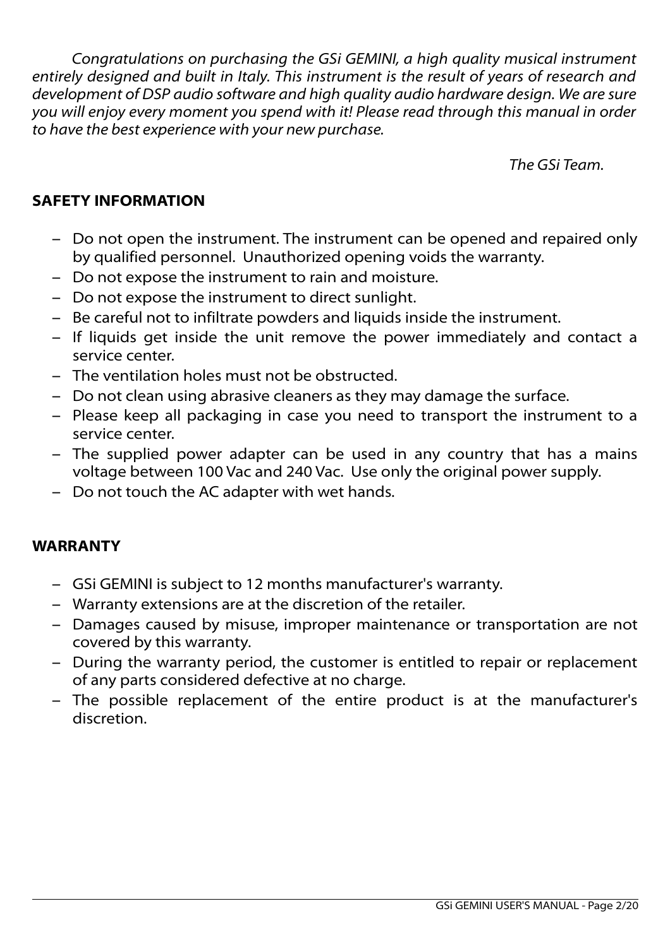*Congratulations on purchasing the GSi GEMINI, a high quality musical instrument entirely designed and built in Italy. This instrument is the result of years of research and development of DSP audio software and high quality audio hardware design. We are sure you will enjoy every moment you spend with it! Please read through this manual in order to have the best experience with your new purchase.*

*The GSi Team.*

# **SAFETY INFORMATION**

- Do not open the instrument. The instrument can be opened and repaired only by qualified personnel. Unauthorized opening voids the warranty.
- Do not expose the instrument to rain and moisture.
- Do not expose the instrument to direct sunlight.
- Be careful not to infiltrate powders and liquids inside the instrument.
- If liquids get inside the unit remove the power immediately and contact a service center.
- The ventilation holes must not be obstructed.
- Do not clean using abrasive cleaners as they may damage the surface.
- Please keep all packaging in case you need to transport the instrument to a service center.
- The supplied power adapter can be used in any country that has a mains voltage between 100 Vac and 240 Vac. Use only the original power supply.
- Do not touch the AC adapter with wet hands.

# **WARRANTY**

- GSi GEMINI is subject to 12 months manufacturer's warranty.
- Warranty extensions are at the discretion of the retailer.
- Damages caused by misuse, improper maintenance or transportation are not covered by this warranty.
- During the warranty period, the customer is entitled to repair or replacement of any parts considered defective at no charge.
- The possible replacement of the entire product is at the manufacturer's discretion.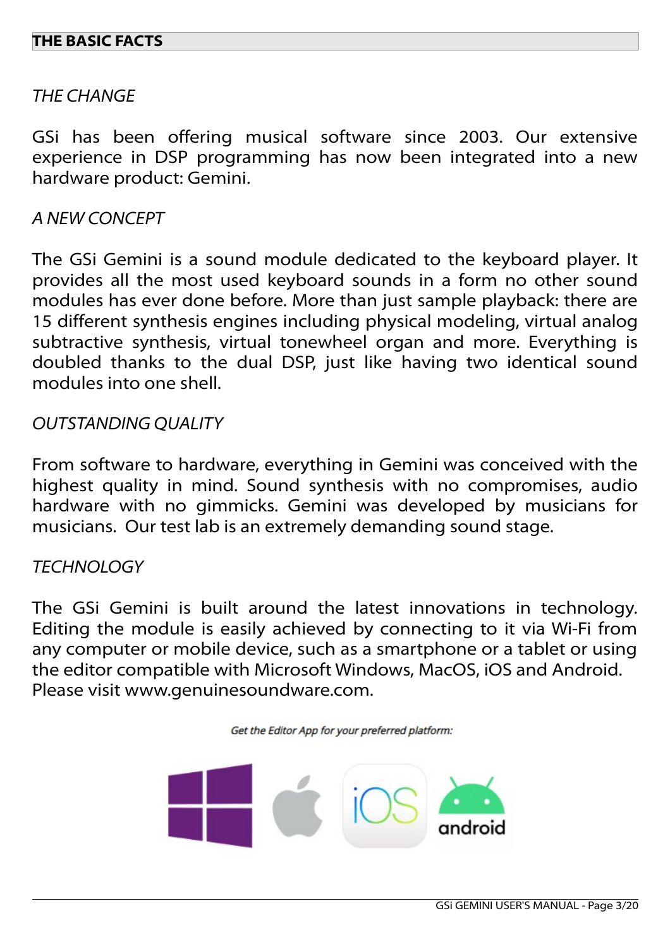## **THE BASIC FACTS**

#### *THE CHANGE*

GSi has been offering musical software since 2003. Our extensive experience in DSP programming has now been integrated into a new hardware product: Gemini.

#### *A NEW CONCEPT*

The GSi Gemini is a sound module dedicated to the keyboard player. It provides all the most used keyboard sounds in a form no other sound modules has ever done before. More than just sample playback: there are 15 different synthesis engines including physical modeling, virtual analog subtractive synthesis, virtual tonewheel organ and more. Everything is doubled thanks to the dual DSP, just like having two identical sound modules into one shell.

#### *OUTSTANDING QUALITY*

From software to hardware, everything in Gemini was conceived with the highest quality in mind. Sound synthesis with no compromises, audio hardware with no gimmicks. Gemini was developed by musicians for musicians. Our test lab is an extremely demanding sound stage.

## *TECHNOLOGY*

The GSi Gemini is built around the latest innovations in technology. Editing the module is easily achieved by connecting to it via Wi-Fi from any computer or mobile device, such as a smartphone or a tablet or using the editor compatible with Microsoft Windows, MacOS, iOS and Android. Please visit www.genuinesoundware.com.

Get the Editor App for your preferred platform:

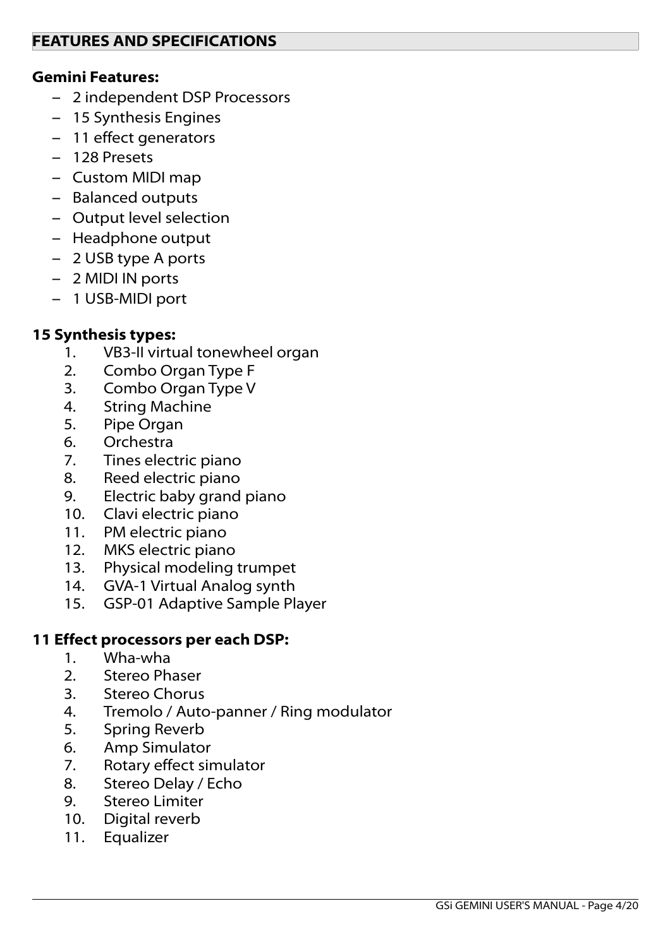## **Gemini Features:**

- 2 independent DSP Processors
- 15 Synthesis Engines
- 11 effect generators
- 128 Presets
- Custom MIDI map
- Balanced outputs
- Output level selection
- Headphone output
- 2 USB type A ports
- 2 MIDI IN ports
- 1 USB-MIDI port

# **15 Synthesis types:**

- 1. VB3-II virtual tonewheel organ
- 2. Combo Organ Type F
- 3. Combo Organ Type V
- 4. String Machine
- 5. Pipe Organ
- 6. Orchestra
- 7. Tines electric piano
- 8. Reed electric piano
- 9. Electric baby grand piano
- 10. Clavi electric piano
- 11. PM electric piano
- 12. MKS electric piano
- 13. Physical modeling trumpet
- 14. GVA-1 Virtual Analog synth
- 15. GSP-01 Adaptive Sample Player

## **11 Effect processors per each DSP:**

- 1. Wha-wha
- 2. Stereo Phaser
- 3. Stereo Chorus
- 4. Tremolo / Auto-panner / Ring modulator
- 5. Spring Reverb
- 6. Amp Simulator
- 7. Rotary effect simulator
- 8. Stereo Delay / Echo
- 9. Stereo Limiter
- 10. Digital reverb
- 11. Equalizer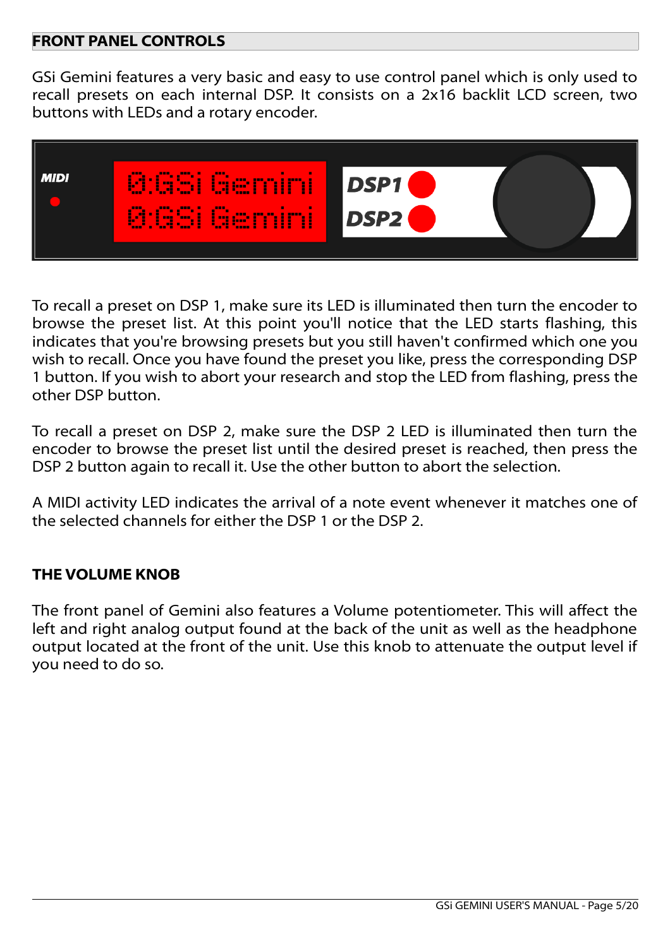## **FRONT PANEL CONTROLS**

GSi Gemini features a very basic and easy to use control panel which is only used to recall presets on each internal DSP. It consists on a 2x16 backlit LCD screen, two buttons with LEDs and a rotary encoder.



To recall a preset on DSP 1, make sure its LED is illuminated then turn the encoder to browse the preset list. At this point you'll notice that the LED starts flashing, this indicates that you're browsing presets but you still haven't confirmed which one you wish to recall. Once you have found the preset you like, press the corresponding DSP 1 button. If you wish to abort your research and stop the LED from flashing, press the other DSP button.

To recall a preset on DSP 2, make sure the DSP 2 LED is illuminated then turn the encoder to browse the preset list until the desired preset is reached, then press the DSP 2 button again to recall it. Use the other button to abort the selection.

A MIDI activity LED indicates the arrival of a note event whenever it matches one of the selected channels for either the DSP 1 or the DSP 2.

## **THE VOLUME KNOB**

The front panel of Gemini also features a Volume potentiometer. This will affect the left and right analog output found at the back of the unit as well as the headphone output located at the front of the unit. Use this knob to attenuate the output level if you need to do so.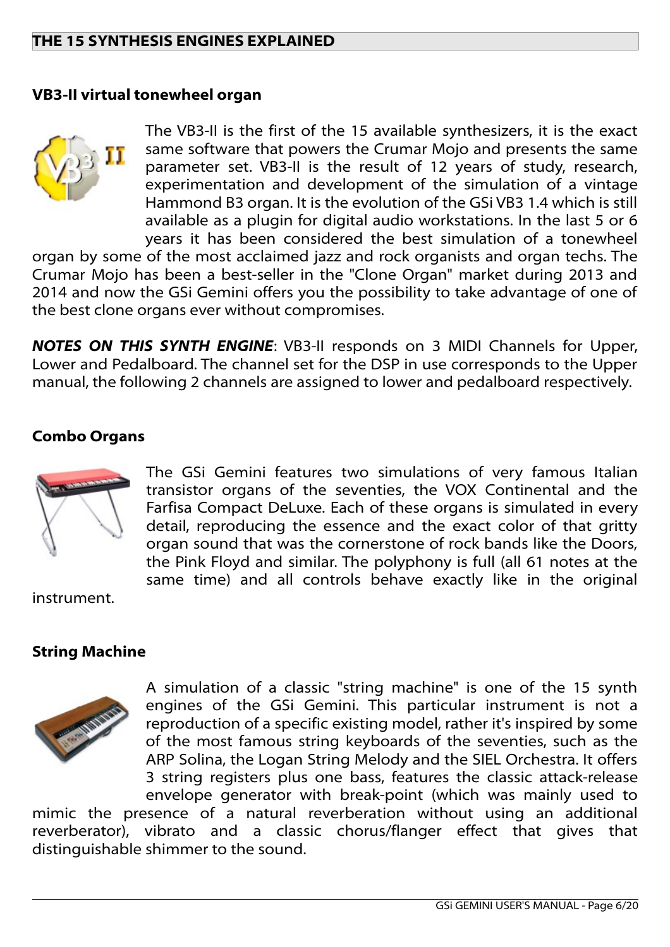## **THE 15 SYNTHESIS ENGINES EXPLAINED**

#### **VB3-II virtual tonewheel organ**



The VB3-II is the first of the 15 available synthesizers, it is the exact same software that powers the Crumar Mojo and presents the same parameter set. VB3-II is the result of 12 years of study, research, experimentation and development of the simulation of a vintage Hammond B3 organ. It is the evolution of the GSi VB3 1.4 which is still available as a plugin for digital audio workstations. In the last 5 or 6 years it has been considered the best simulation of a tonewheel

organ by some of the most acclaimed jazz and rock organists and organ techs. The Crumar Mojo has been a best-seller in the "Clone Organ" market during 2013 and 2014 and now the GSi Gemini offers you the possibility to take advantage of one of the best clone organs ever without compromises.

*NOTES ON THIS SYNTH ENGINE*: VB3-II responds on 3 MIDI Channels for Upper, Lower and Pedalboard. The channel set for the DSP in use corresponds to the Upper manual, the following 2 channels are assigned to lower and pedalboard respectively.

#### **Combo Organs**



The GSi Gemini features two simulations of very famous Italian transistor organs of the seventies, the VOX Continental and the Farfisa Compact DeLuxe. Each of these organs is simulated in every detail, reproducing the essence and the exact color of that gritty organ sound that was the cornerstone of rock bands like the Doors, the Pink Floyd and similar. The polyphony is full (all 61 notes at the same time) and all controls behave exactly like in the original

instrument.

#### **String Machine**



A simulation of a classic "string machine" is one of the 15 synth engines of the GSi Gemini. This particular instrument is not a reproduction of a specific existing model, rather it's inspired by some of the most famous string keyboards of the seventies, such as the ARP Solina, the Logan String Melody and the SIEL Orchestra. It offers 3 string registers plus one bass, features the classic attack-release envelope generator with break-point (which was mainly used to

mimic the presence of a natural reverberation without using an additional reverberator), vibrato and a classic chorus/flanger effect that gives that distinguishable shimmer to the sound.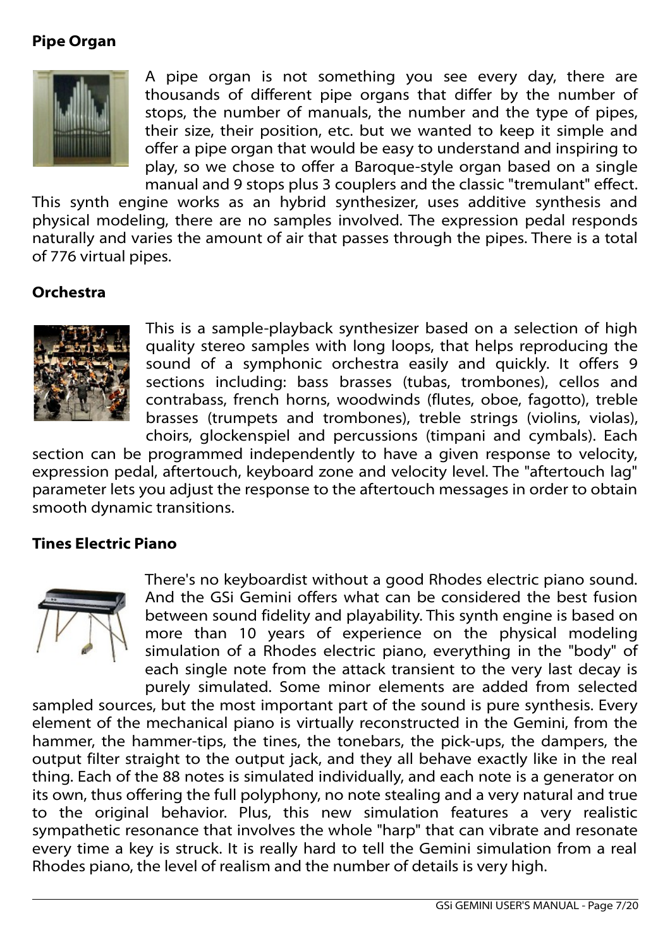## **Pipe Organ**



A pipe organ is not something you see every day, there are thousands of different pipe organs that differ by the number of stops, the number of manuals, the number and the type of pipes, their size, their position, etc. but we wanted to keep it simple and offer a pipe organ that would be easy to understand and inspiring to play, so we chose to offer a Baroque-style organ based on a single manual and 9 stops plus 3 couplers and the classic "tremulant" effect.

This synth engine works as an hybrid synthesizer, uses additive synthesis and physical modeling, there are no samples involved. The expression pedal responds naturally and varies the amount of air that passes through the pipes. There is a total of 776 virtual pipes.

## **Orchestra**



This is a sample-playback synthesizer based on a selection of high quality stereo samples with long loops, that helps reproducing the sound of a symphonic orchestra easily and quickly. It offers 9 sections including: bass brasses (tubas, trombones), cellos and contrabass, french horns, woodwinds (flutes, oboe, fagotto), treble brasses (trumpets and trombones), treble strings (violins, violas), choirs, glockenspiel and percussions (timpani and cymbals). Each

section can be programmed independently to have a given response to velocity, expression pedal, aftertouch, keyboard zone and velocity level. The "aftertouch lag" parameter lets you adjust the response to the aftertouch messages in order to obtain smooth dynamic transitions.

#### **Tines Electric Piano**



There's no keyboardist without a good Rhodes electric piano sound. And the GSi Gemini offers what can be considered the best fusion between sound fidelity and playability. This synth engine is based on more than 10 years of experience on the physical modeling simulation of a Rhodes electric piano, everything in the "body" of each single note from the attack transient to the very last decay is purely simulated. Some minor elements are added from selected

sampled sources, but the most important part of the sound is pure synthesis. Every element of the mechanical piano is virtually reconstructed in the Gemini, from the hammer, the hammer-tips, the tines, the tonebars, the pick-ups, the dampers, the output filter straight to the output jack, and they all behave exactly like in the real thing. Each of the 88 notes is simulated individually, and each note is a generator on its own, thus offering the full polyphony, no note stealing and a very natural and true to the original behavior. Plus, this new simulation features a very realistic sympathetic resonance that involves the whole "harp" that can vibrate and resonate every time a key is struck. It is really hard to tell the Gemini simulation from a real Rhodes piano, the level of realism and the number of details is very high.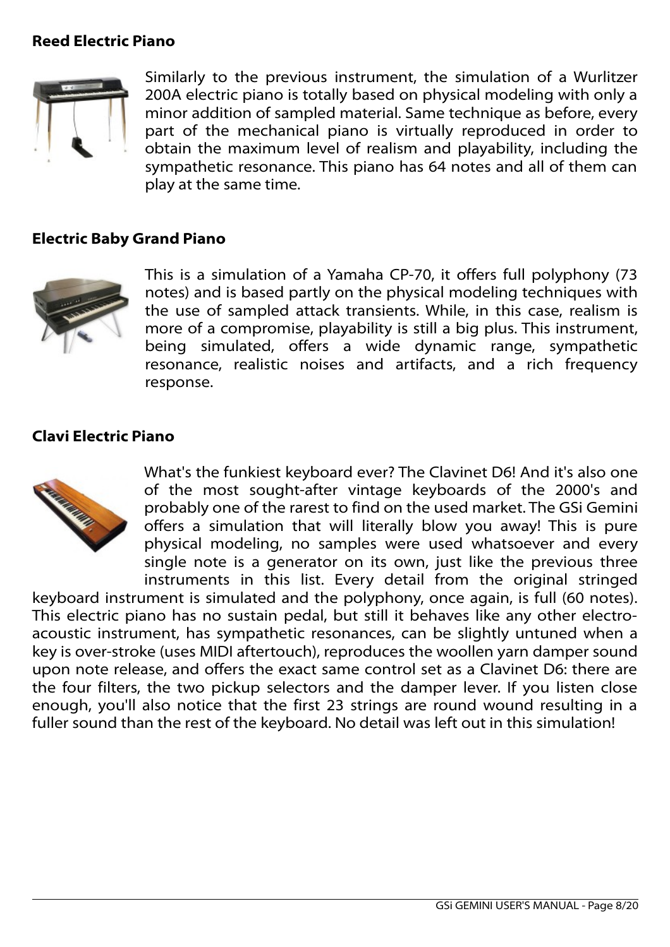## **Reed Electric Piano**



Similarly to the previous instrument, the simulation of a Wurlitzer 200A electric piano is totally based on physical modeling with only a minor addition of sampled material. Same technique as before, every part of the mechanical piano is virtually reproduced in order to obtain the maximum level of realism and playability, including the sympathetic resonance. This piano has 64 notes and all of them can play at the same time.

## **Electric Baby Grand Piano**



This is a simulation of a Yamaha CP-70, it offers full polyphony (73 notes) and is based partly on the physical modeling techniques with the use of sampled attack transients. While, in this case, realism is more of a compromise, playability is still a big plus. This instrument, being simulated, offers a wide dynamic range, sympathetic resonance, realistic noises and artifacts, and a rich frequency response.

#### **Clavi Electric Piano**



What's the funkiest keyboard ever? The Clavinet D6! And it's also one of the most sought-after vintage keyboards of the 2000's and probably one of the rarest to find on the used market. The GSi Gemini offers a simulation that will literally blow you away! This is pure physical modeling, no samples were used whatsoever and every single note is a generator on its own, just like the previous three instruments in this list. Every detail from the original stringed

keyboard instrument is simulated and the polyphony, once again, is full (60 notes). This electric piano has no sustain pedal, but still it behaves like any other electroacoustic instrument, has sympathetic resonances, can be slightly untuned when a key is over-stroke (uses MIDI aftertouch), reproduces the woollen yarn damper sound upon note release, and offers the exact same control set as a Clavinet D6: there are the four filters, the two pickup selectors and the damper lever. If you listen close enough, you'll also notice that the first 23 strings are round wound resulting in a fuller sound than the rest of the keyboard. No detail was left out in this simulation!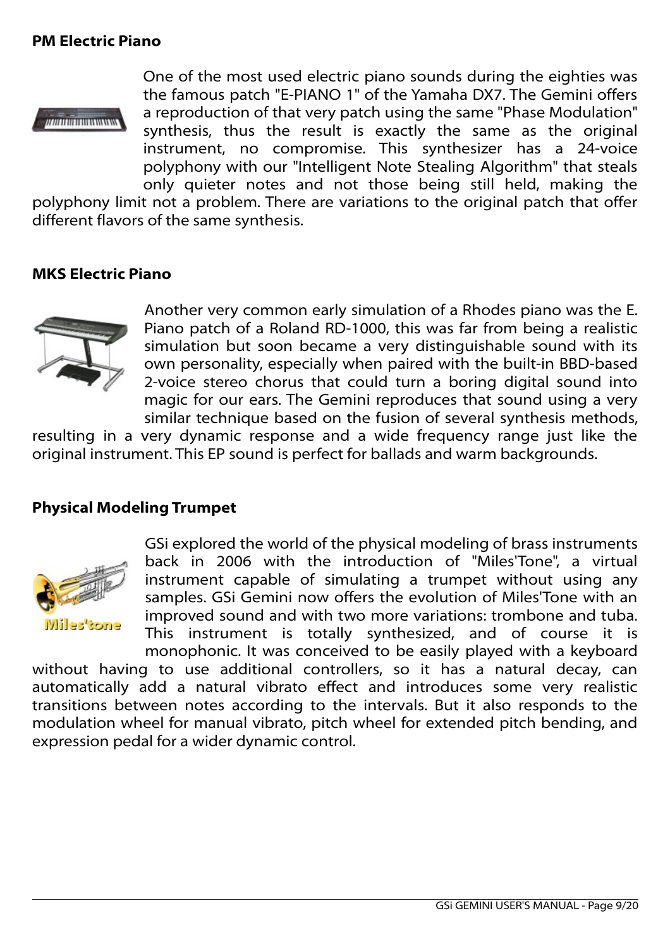## **PM Electric Piano**



One of the most used electric piano sounds during the eighties was the famous patch "E-PIANO 1" of the Yamaha DX7. The Gemini offers a reproduction of that very patch using the same "Phase Modulation" synthesis, thus the result is exactly the same as the original instrument, no compromise. This synthesizer has a 24-voice polyphony with our "Intelligent Note Stealing Algorithm" that steals only quieter notes and not those being still held, making the

polyphony limit not a problem. There are variations to the original patch that offer different flavors of the same synthesis.

#### **MKS Electric Piano**



Another very common early simulation of a Rhodes piano was the E. Piano patch of a Roland RD-1000, this was far from being a realistic simulation but soon became a very distinguishable sound with its own personality, especially when paired with the built-in BBD-based 2-voice stereo chorus that could turn a boring digital sound into magic for our ears. The Gemini reproduces that sound using a very similar technique based on the fusion of several synthesis methods,

resulting in a very dynamic response and a wide frequency range just like the original instrument. This EP sound is perfect for ballads and warm backgrounds.

## **Physical Modeling Trumpet**



GSi explored the world of the physical modeling of brass instruments back in 2006 with the introduction of "Miles'Tone", a virtual instrument capable of simulating a trumpet without using any samples. GSi Gemini now offers the evolution of Miles'Tone with an improved sound and with two more variations: trombone and tuba. This instrument is totally synthesized, and of course it is monophonic. It was conceived to be easily played with a keyboard

without having to use additional controllers, so it has a natural decay, can automatically add a natural vibrato effect and introduces some very realistic transitions between notes according to the intervals. But it also responds to the modulation wheel for manual vibrato, pitch wheel for extended pitch bending, and expression pedal for a wider dynamic control.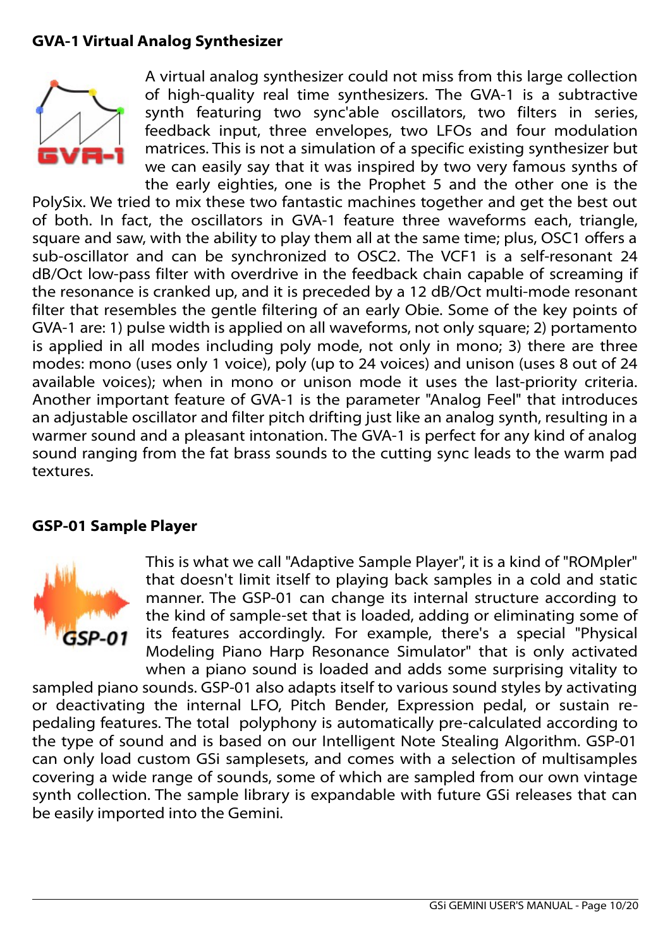# **GVA-1 Virtual Analog Synthesizer**



A virtual analog synthesizer could not miss from this large collection of high-quality real time synthesizers. The GVA-1 is a subtractive synth featuring two sync'able oscillators, two filters in series, feedback input, three envelopes, two LFOs and four modulation matrices. This is not a simulation of a specific existing synthesizer but we can easily say that it was inspired by two very famous synths of the early eighties, one is the Prophet 5 and the other one is the

PolySix. We tried to mix these two fantastic machines together and get the best out of both. In fact, the oscillators in GVA-1 feature three waveforms each, triangle, square and saw, with the ability to play them all at the same time; plus, OSC1 offers a sub-oscillator and can be synchronized to OSC2. The VCF1 is a self-resonant 24 dB/Oct low-pass filter with overdrive in the feedback chain capable of screaming if the resonance is cranked up, and it is preceded by a 12 dB/Oct multi-mode resonant filter that resembles the gentle filtering of an early Obie. Some of the key points of GVA-1 are: 1) pulse width is applied on all waveforms, not only square; 2) portamento is applied in all modes including poly mode, not only in mono; 3) there are three modes: mono (uses only 1 voice), poly (up to 24 voices) and unison (uses 8 out of 24 available voices); when in mono or unison mode it uses the last-priority criteria. Another important feature of GVA-1 is the parameter "Analog Feel" that introduces an adjustable oscillator and filter pitch drifting just like an analog synth, resulting in a warmer sound and a pleasant intonation. The GVA-1 is perfect for any kind of analog sound ranging from the fat brass sounds to the cutting sync leads to the warm pad textures.

## **GSP-01 Sample Player**



This is what we call "Adaptive Sample Player", it is a kind of "ROMpler" that doesn't limit itself to playing back samples in a cold and static manner. The GSP-01 can change its internal structure according to the kind of sample-set that is loaded, adding or eliminating some of its features accordingly. For example, there's a special "Physical Modeling Piano Harp Resonance Simulator" that is only activated when a piano sound is loaded and adds some surprising vitality to

sampled piano sounds. GSP-01 also adapts itself to various sound styles by activating or deactivating the internal LFO, Pitch Bender, Expression pedal, or sustain repedaling features. The total polyphony is automatically pre-calculated according to the type of sound and is based on our Intelligent Note Stealing Algorithm. GSP-01 can only load custom GSi samplesets, and comes with a selection of multisamples covering a wide range of sounds, some of which are sampled from our own vintage synth collection. The sample library is expandable with future GSi releases that can be easily imported into the Gemini.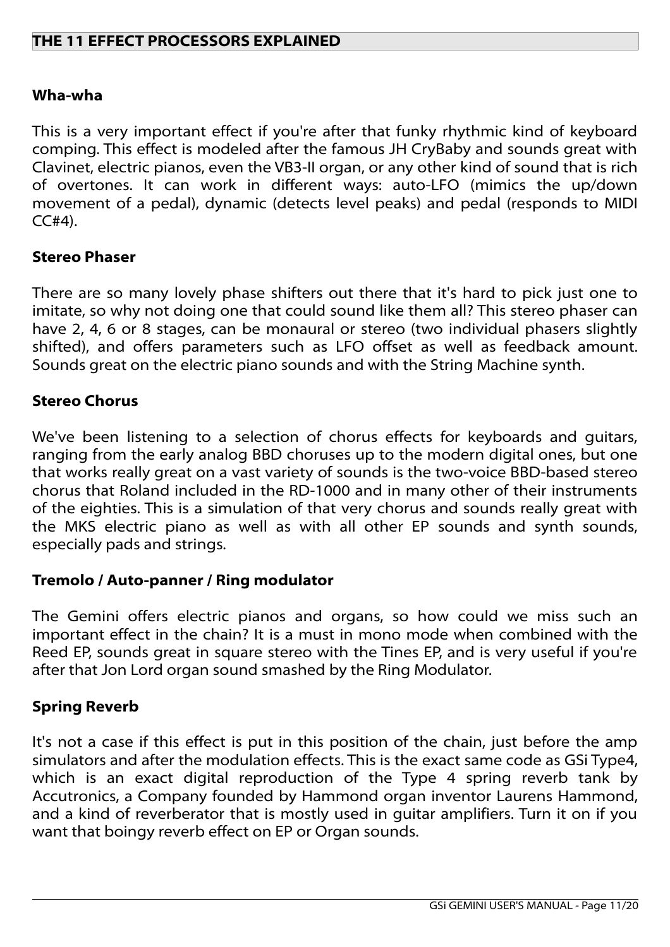## **THE 11 EFFECT PROCESSORS EXPLAINED**

#### **Wha-wha**

This is a very important effect if you're after that funky rhythmic kind of keyboard comping. This effect is modeled after the famous JH CryBaby and sounds great with Clavinet, electric pianos, even the VB3-II organ, or any other kind of sound that is rich of overtones. It can work in different ways: auto-LFO (mimics the up/down movement of a pedal), dynamic (detects level peaks) and pedal (responds to MIDI  $CC#4$ ).

#### **Stereo Phaser**

There are so many lovely phase shifters out there that it's hard to pick just one to imitate, so why not doing one that could sound like them all? This stereo phaser can have 2, 4, 6 or 8 stages, can be monaural or stereo (two individual phasers slightly shifted), and offers parameters such as LFO offset as well as feedback amount. Sounds great on the electric piano sounds and with the String Machine synth.

## **Stereo Chorus**

We've been listening to a selection of chorus effects for keyboards and guitars, ranging from the early analog BBD choruses up to the modern digital ones, but one that works really great on a vast variety of sounds is the two-voice BBD-based stereo chorus that Roland included in the RD-1000 and in many other of their instruments of the eighties. This is a simulation of that very chorus and sounds really great with the MKS electric piano as well as with all other EP sounds and synth sounds, especially pads and strings.

## **Tremolo / Auto-panner / Ring modulator**

The Gemini offers electric pianos and organs, so how could we miss such an important effect in the chain? It is a must in mono mode when combined with the Reed EP, sounds great in square stereo with the Tines EP, and is very useful if you're after that Jon Lord organ sound smashed by the Ring Modulator.

#### **Spring Reverb**

It's not a case if this effect is put in this position of the chain, just before the amp simulators and after the modulation effects. This is the exact same code as GSi Type4, which is an exact digital reproduction of the Type 4 spring reverb tank by Accutronics, a Company founded by Hammond organ inventor Laurens Hammond, and a kind of reverberator that is mostly used in guitar amplifiers. Turn it on if you want that boingy reverb effect on EP or Organ sounds.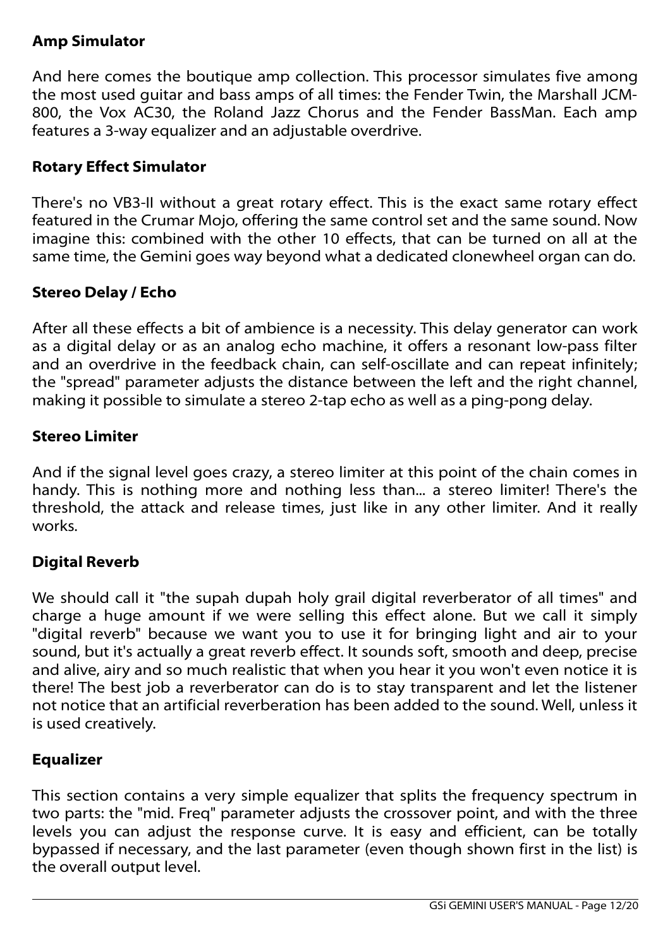# **Amp Simulator**

And here comes the boutique amp collection. This processor simulates five among the most used guitar and bass amps of all times: the Fender Twin, the Marshall JCM-800, the Vox AC30, the Roland Jazz Chorus and the Fender BassMan. Each amp features a 3-way equalizer and an adjustable overdrive.

# **Rotary Effect Simulator**

There's no VB3-II without a great rotary effect. This is the exact same rotary effect featured in the Crumar Mojo, offering the same control set and the same sound. Now imagine this: combined with the other 10 effects, that can be turned on all at the same time, the Gemini goes way beyond what a dedicated clonewheel organ can do.

# **Stereo Delay / Echo**

After all these effects a bit of ambience is a necessity. This delay generator can work as a digital delay or as an analog echo machine, it offers a resonant low-pass filter and an overdrive in the feedback chain, can self-oscillate and can repeat infinitely; the "spread" parameter adjusts the distance between the left and the right channel, making it possible to simulate a stereo 2-tap echo as well as a ping-pong delay.

## **Stereo Limiter**

And if the signal level goes crazy, a stereo limiter at this point of the chain comes in handy. This is nothing more and nothing less than... a stereo limiter! There's the threshold, the attack and release times, just like in any other limiter. And it really works.

# **Digital Reverb**

We should call it "the supah dupah holy grail digital reverberator of all times" and charge a huge amount if we were selling this effect alone. But we call it simply "digital reverb" because we want you to use it for bringing light and air to your sound, but it's actually a great reverb effect. It sounds soft, smooth and deep, precise and alive, airy and so much realistic that when you hear it you won't even notice it is there! The best job a reverberator can do is to stay transparent and let the listener not notice that an artificial reverberation has been added to the sound. Well, unless it is used creatively.

# **Equalizer**

This section contains a very simple equalizer that splits the frequency spectrum in two parts: the "mid. Freq" parameter adjusts the crossover point, and with the three levels you can adjust the response curve. It is easy and efficient, can be totally bypassed if necessary, and the last parameter (even though shown first in the list) is the overall output level.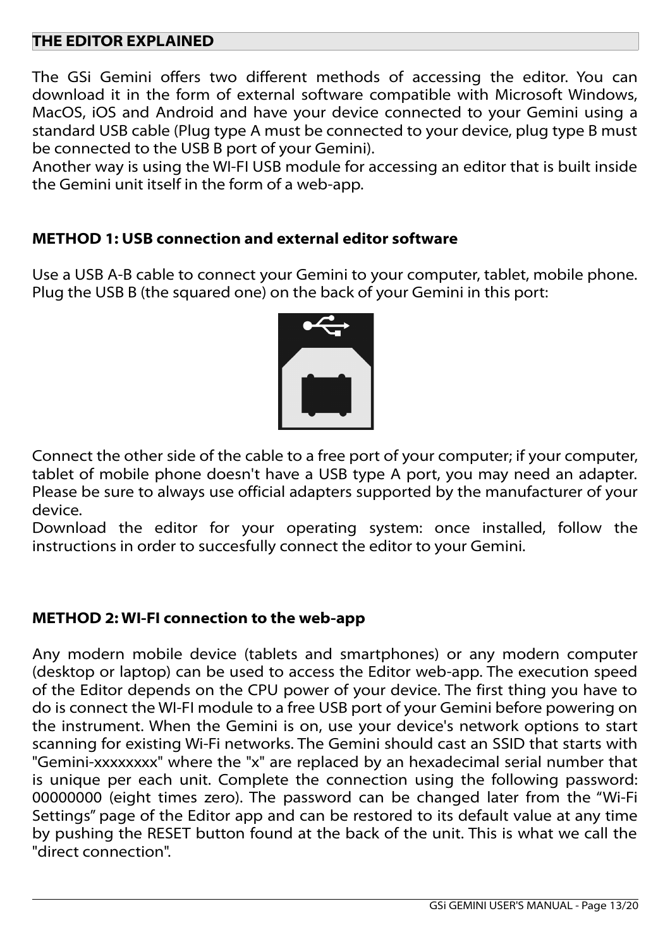## **THE EDITOR EXPLAINED**

The GSi Gemini offers two different methods of accessing the editor. You can download it in the form of external software compatible with Microsoft Windows, MacOS, iOS and Android and have your device connected to your Gemini using a standard USB cable (Plug type A must be connected to your device, plug type B must be connected to the USB B port of your Gemini).

Another way is using the WI-FI USB module for accessing an editor that is built inside the Gemini unit itself in the form of a web-app.

## **METHOD 1: USB connection and external editor software**

Use a USB A-B cable to connect your Gemini to your computer, tablet, mobile phone. Plug the USB B (the squared one) on the back of your Gemini in this port:



Connect the other side of the cable to a free port of your computer; if your computer, tablet of mobile phone doesn't have a USB type A port, you may need an adapter. Please be sure to always use official adapters supported by the manufacturer of your device.

Download the editor for your operating system: once installed, follow the instructions in order to succesfully connect the editor to your Gemini.

## **METHOD 2: WI-FI connection to the web-app**

Any modern mobile device (tablets and smartphones) or any modern computer (desktop or laptop) can be used to access the Editor web-app. The execution speed of the Editor depends on the CPU power of your device. The first thing you have to do is connect the WI-FI module to a free USB port of your Gemini before powering on the instrument. When the Gemini is on, use your device's network options to start scanning for existing Wi-Fi networks. The Gemini should cast an SSID that starts with "Gemini-xxxxxxxx" where the "x" are replaced by an hexadecimal serial number that is unique per each unit. Complete the connection using the following password: 00000000 (eight times zero). The password can be changed later from the "Wi-Fi Settings" page of the Editor app and can be restored to its default value at any time by pushing the RESET button found at the back of the unit. This is what we call the "direct connection".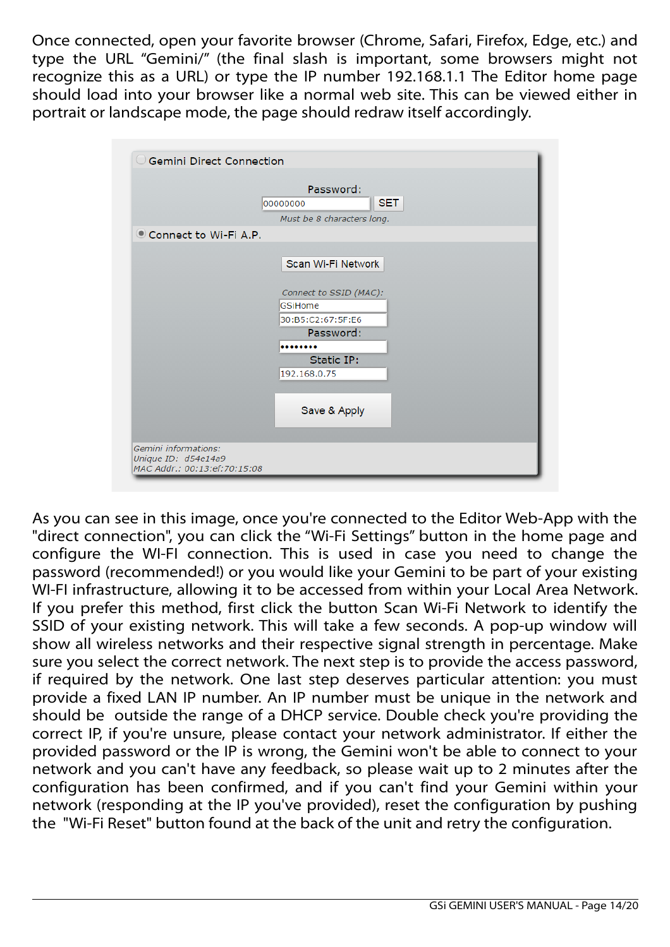Once connected, open your favorite browser (Chrome, Safari, Firefox, Edge, etc.) and type the URL "Gemini/" (the final slash is important, some browsers might not recognize this as a URL) or type the IP number 192.168.1.1 The Editor home page should load into your browser like a normal web site. This can be viewed either in portrait or landscape mode, the page should redraw itself accordingly.

| $\cup$ Gemini Direct Connection                     |                                                                   |
|-----------------------------------------------------|-------------------------------------------------------------------|
|                                                     | Password:<br><b>SET</b><br>00000000<br>Must be 8 characters long. |
| Connect to Wi-Fi A.P.                               |                                                                   |
|                                                     | Scan Wi-Fi Network                                                |
|                                                     | Connect to SSID (MAC):                                            |
|                                                     | GSiHome<br>30:B5:C2:67:5F:E6                                      |
|                                                     | Password:                                                         |
|                                                     | Static IP:                                                        |
|                                                     | 192.168.0.75                                                      |
|                                                     | Save & Apply                                                      |
| Gemini informations:                                |                                                                   |
| Unique ID: d54e14a9<br>MAC Addr.: 00:13:ef:70:15:08 |                                                                   |

As you can see in this image, once you're connected to the Editor Web-App with the "direct connection", you can click the "Wi-Fi Settings" button in the home page and configure the WI-FI connection. This is used in case you need to change the password (recommended!) or you would like your Gemini to be part of your existing WI-FI infrastructure, allowing it to be accessed from within your Local Area Network. If you prefer this method, first click the button Scan Wi-Fi Network to identify the SSID of your existing network. This will take a few seconds. A pop-up window will show all wireless networks and their respective signal strength in percentage. Make sure you select the correct network. The next step is to provide the access password, if required by the network. One last step deserves particular attention: you must provide a fixed LAN IP number. An IP number must be unique in the network and should be outside the range of a DHCP service. Double check you're providing the correct IP, if you're unsure, please contact your network administrator. If either the provided password or the IP is wrong, the Gemini won't be able to connect to your network and you can't have any feedback, so please wait up to 2 minutes after the configuration has been confirmed, and if you can't find your Gemini within your network (responding at the IP you've provided), reset the configuration by pushing the "Wi-Fi Reset" button found at the back of the unit and retry the configuration.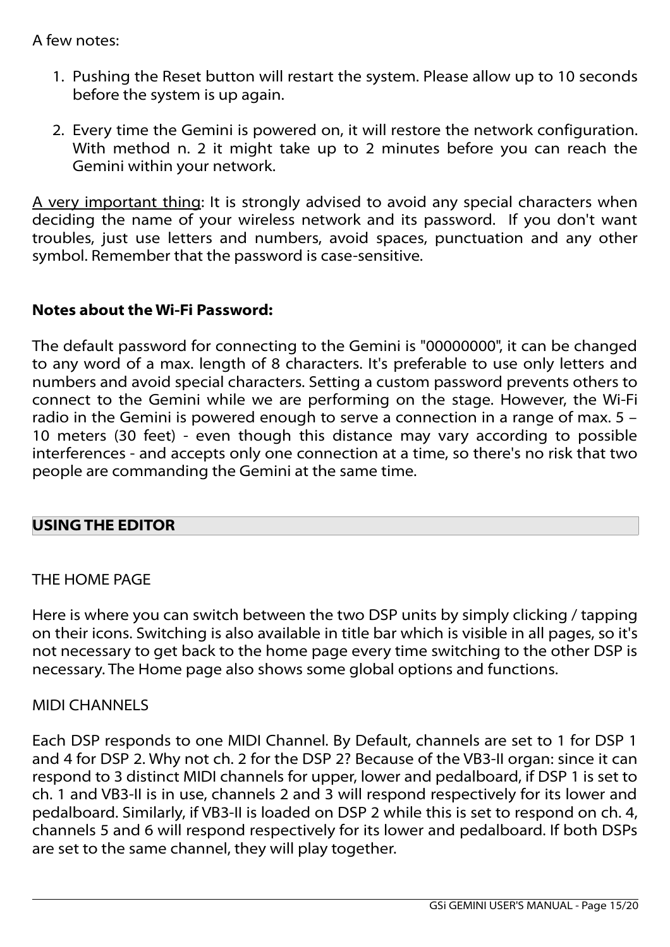## A few notes:

- 1. Pushing the Reset button will restart the system. Please allow up to 10 seconds before the system is up again.
- 2. Every time the Gemini is powered on, it will restore the network configuration. With method n. 2 it might take up to 2 minutes before you can reach the Gemini within your network.

A very important thing: It is strongly advised to avoid any special characters when deciding the name of your wireless network and its password. If you don't want troubles, just use letters and numbers, avoid spaces, punctuation and any other symbol. Remember that the password is case-sensitive.

# **Notes about the Wi-Fi Password:**

The default password for connecting to the Gemini is "00000000", it can be changed to any word of a max. length of 8 characters. It's preferable to use only letters and numbers and avoid special characters. Setting a custom password prevents others to connect to the Gemini while we are performing on the stage. However, the Wi-Fi radio in the Gemini is powered enough to serve a connection in a range of max. 5 – 10 meters (30 feet) - even though this distance may vary according to possible interferences - and accepts only one connection at a time, so there's no risk that two people are commanding the Gemini at the same time.

# **USING THE EDITOR**

# THE HOME PAGE

Here is where you can switch between the two DSP units by simply clicking / tapping on their icons. Switching is also available in title bar which is visible in all pages, so it's not necessary to get back to the home page every time switching to the other DSP is necessary. The Home page also shows some global options and functions.

## MIDI CHANNELS

Each DSP responds to one MIDI Channel. By Default, channels are set to 1 for DSP 1 and 4 for DSP 2. Why not ch. 2 for the DSP 2? Because of the VB3-II organ: since it can respond to 3 distinct MIDI channels for upper, lower and pedalboard, if DSP 1 is set to ch. 1 and VB3-II is in use, channels 2 and 3 will respond respectively for its lower and pedalboard. Similarly, if VB3-II is loaded on DSP 2 while this is set to respond on ch. 4, channels 5 and 6 will respond respectively for its lower and pedalboard. If both DSPs are set to the same channel, they will play together.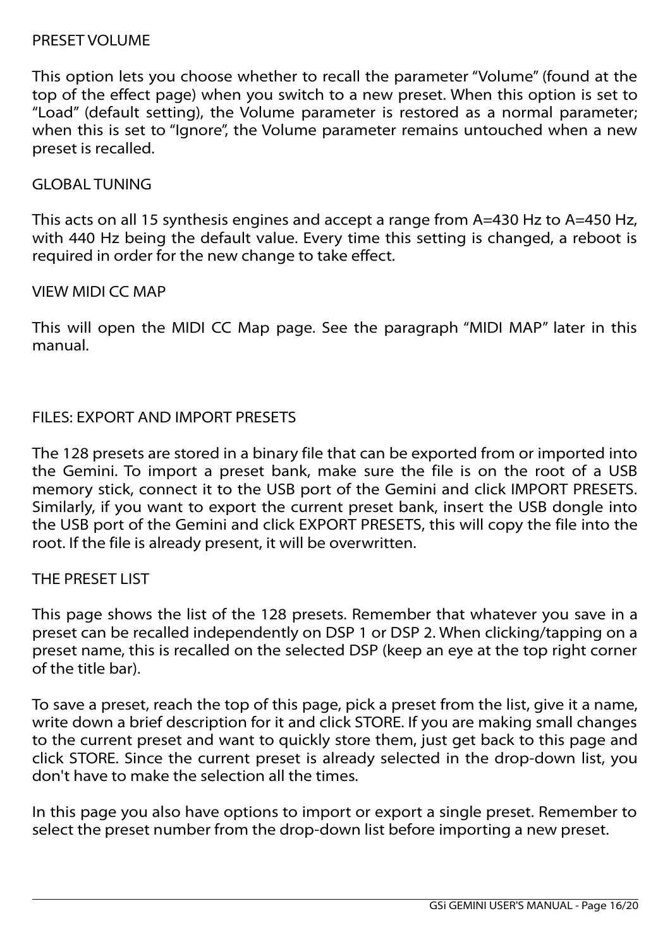#### PRESET VOLUME

This option lets you choose whether to recall the parameter "Volume" (found at the top of the effect page) when you switch to a new preset. When this option is set to "Load" (default setting), the Volume parameter is restored as a normal parameter; when this is set to "Ignore", the Volume parameter remains untouched when a new preset is recalled.

#### GLOBAL TUNING

This acts on all 15 synthesis engines and accept a range from A=430 Hz to A=450 Hz, with 440 Hz being the default value. Every time this setting is changed, a reboot is required in order for the new change to take effect.

## VIEW MIDI CC MAP

This will open the MIDI CC Map page. See the paragraph "MIDI MAP" later in this manual.

## FILES: EXPORT AND IMPORT PRESETS

The 128 presets are stored in a binary file that can be exported from or imported into the Gemini. To import a preset bank, make sure the file is on the root of a USB memory stick, connect it to the USB port of the Gemini and click IMPORT PRESETS. Similarly, if you want to export the current preset bank, insert the USB dongle into the USB port of the Gemini and click EXPORT PRESETS, this will copy the file into the root. If the file is already present, it will be overwritten.

## THE PRESET LIST

This page shows the list of the 128 presets. Remember that whatever you save in a preset can be recalled independently on DSP 1 or DSP 2. When clicking/tapping on a preset name, this is recalled on the selected DSP (keep an eye at the top right corner of the title bar).

To save a preset, reach the top of this page, pick a preset from the list, give it a name, write down a brief description for it and click STORE. If you are making small changes to the current preset and want to quickly store them, just get back to this page and click STORE. Since the current preset is already selected in the drop-down list, you don't have to make the selection all the times.

In this page you also have options to import or export a single preset. Remember to select the preset number from the drop-down list before importing a new preset.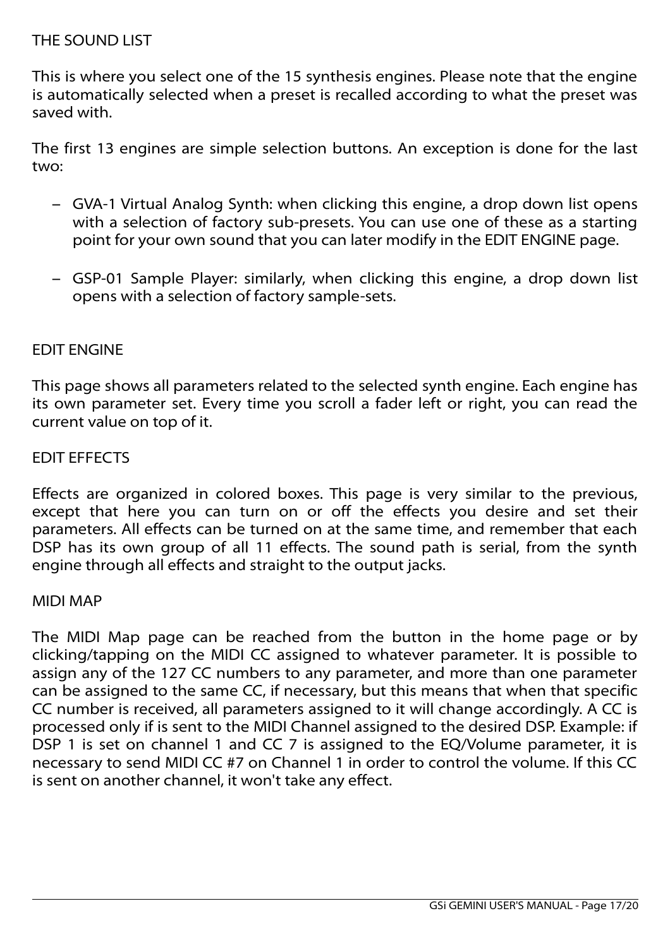## THE SOUND LIST

This is where you select one of the 15 synthesis engines. Please note that the engine is automatically selected when a preset is recalled according to what the preset was saved with.

The first 13 engines are simple selection buttons. An exception is done for the last two:

- GVA-1 Virtual Analog Synth: when clicking this engine, a drop down list opens with a selection of factory sub-presets. You can use one of these as a starting point for your own sound that you can later modify in the EDIT ENGINE page.
- GSP-01 Sample Player: similarly, when clicking this engine, a drop down list opens with a selection of factory sample-sets.

## EDIT ENGINE

This page shows all parameters related to the selected synth engine. Each engine has its own parameter set. Every time you scroll a fader left or right, you can read the current value on top of it.

## EDIT EFFECTS

Effects are organized in colored boxes. This page is very similar to the previous, except that here you can turn on or off the effects you desire and set their parameters. All effects can be turned on at the same time, and remember that each DSP has its own group of all 11 effects. The sound path is serial, from the synth engine through all effects and straight to the output jacks.

#### MIDI MAP

The MIDI Map page can be reached from the button in the home page or by clicking/tapping on the MIDI CC assigned to whatever parameter. It is possible to assign any of the 127 CC numbers to any parameter, and more than one parameter can be assigned to the same CC, if necessary, but this means that when that specific CC number is received, all parameters assigned to it will change accordingly. A CC is processed only if is sent to the MIDI Channel assigned to the desired DSP. Example: if DSP 1 is set on channel 1 and CC 7 is assigned to the EQ/Volume parameter, it is necessary to send MIDI CC #7 on Channel 1 in order to control the volume. If this CC is sent on another channel, it won't take any effect.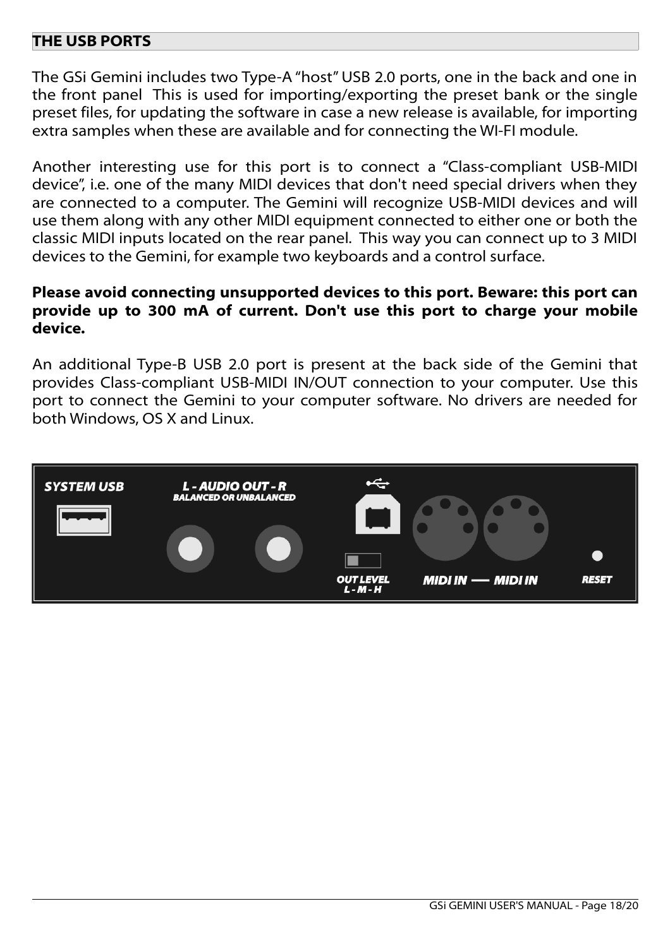## **THE USB PORTS**

The GSi Gemini includes two Type-A "host" USB 2.0 ports, one in the back and one in the front panel This is used for importing/exporting the preset bank or the single preset files, for updating the software in case a new release is available, for importing extra samples when these are available and for connecting the WI-FI module.

Another interesting use for this port is to connect a "Class-compliant USB-MIDI device", i.e. one of the many MIDI devices that don't need special drivers when they are connected to a computer. The Gemini will recognize USB-MIDI devices and will use them along with any other MIDI equipment connected to either one or both the classic MIDI inputs located on the rear panel. This way you can connect up to 3 MIDI devices to the Gemini, for example two keyboards and a control surface.

#### **Please avoid connecting unsupported devices to this port. Beware: this port can provide up to 300 mA of current. Don't use this port to charge your mobile device.**

An additional Type-B USB 2.0 port is present at the back side of the Gemini that provides Class-compliant USB-MIDI IN/OUT connection to your computer. Use this port to connect the Gemini to your computer software. No drivers are needed for both Windows, OS X and Linux.

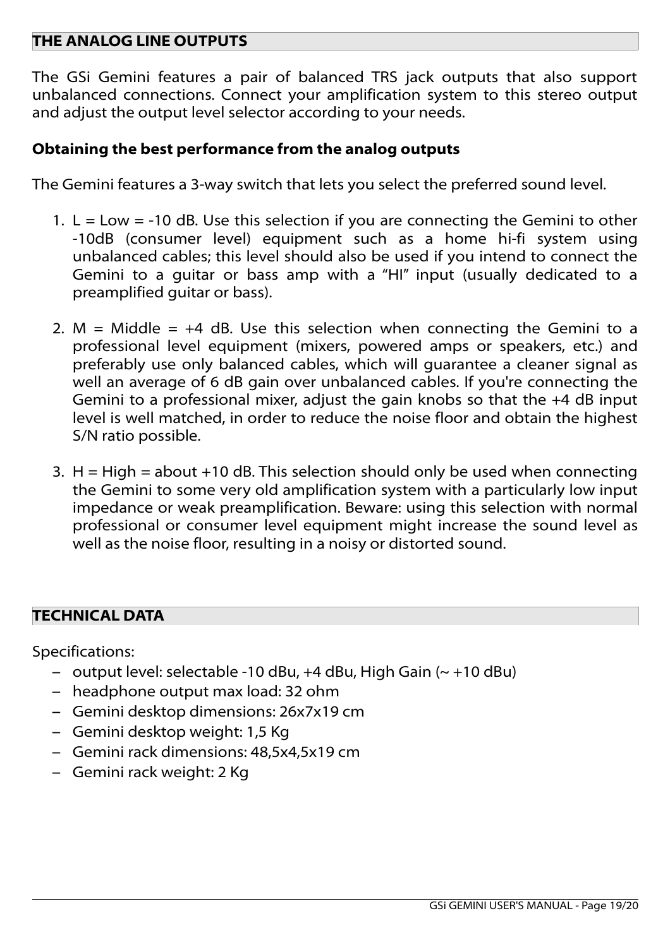## **THE ANALOG LINE OUTPUTS**

The GSi Gemini features a pair of balanced TRS jack outputs that also support unbalanced connections. Connect your amplification system to this stereo output and adjust the output level selector according to your needs.

## **Obtaining the best performance from the analog outputs**

The Gemini features a 3-way switch that lets you select the preferred sound level.

- 1.  $L = Low = -10$  dB. Use this selection if you are connecting the Gemini to other -10dB (consumer level) equipment such as a home hi-fi system using unbalanced cables; this level should also be used if you intend to connect the Gemini to a guitar or bass amp with a "HI" input (usually dedicated to a preamplified guitar or bass).
- 2. M = Middle =  $+4$  dB. Use this selection when connecting the Gemini to a professional level equipment (mixers, powered amps or speakers, etc.) and preferably use only balanced cables, which will guarantee a cleaner signal as well an average of 6 dB gain over unbalanced cables. If you're connecting the Gemini to a professional mixer, adjust the gain knobs so that the +4 dB input level is well matched, in order to reduce the noise floor and obtain the highest S/N ratio possible.
- 3.  $H = High = about +10 dB$ . This selection should only be used when connecting the Gemini to some very old amplification system with a particularly low input impedance or weak preamplification. Beware: using this selection with normal professional or consumer level equipment might increase the sound level as well as the noise floor, resulting in a noisy or distorted sound.

## **TECHNICAL DATA**

Specifications:

- output level: selectable -10 dBu, +4 dBu, High Gain (~ +10 dBu)
- headphone output max load: 32 ohm
- Gemini desktop dimensions: 26x7x19 cm
- Gemini desktop weight: 1,5 Kg
- Gemini rack dimensions: 48,5x4,5x19 cm
- Gemini rack weight: 2 Kg